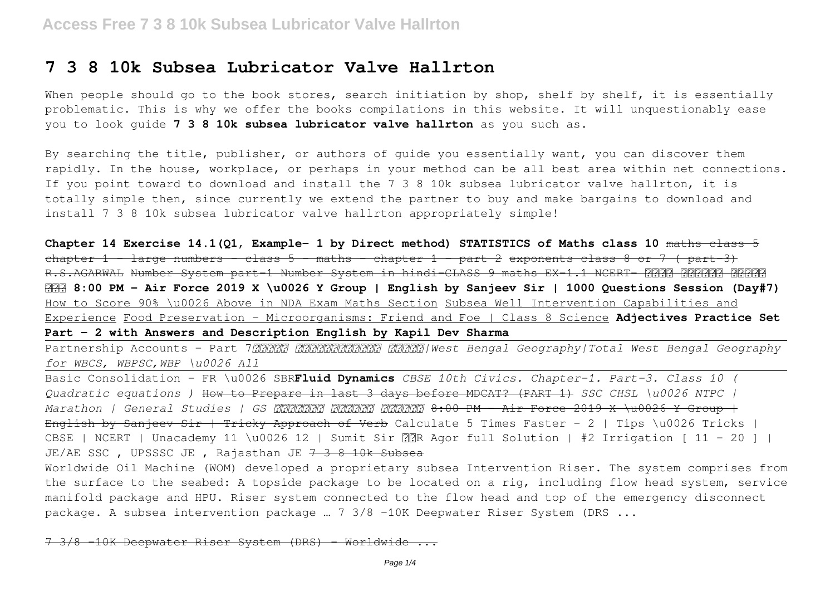# **7 3 8 10k Subsea Lubricator Valve Hallrton**

When people should go to the book stores, search initiation by shop, shelf by shelf, it is essentially problematic. This is why we offer the books compilations in this website. It will unquestionably ease you to look guide **7 3 8 10k subsea lubricator valve hallrton** as you such as.

By searching the title, publisher, or authors of guide you essentially want, you can discover them rapidly. In the house, workplace, or perhaps in your method can be all best area within net connections. If you point toward to download and install the 7 3 8 10k subsea lubricator valve hallrton, it is totally simple then, since currently we extend the partner to buy and make bargains to download and install 7 3 8 10k subsea lubricator valve hallrton appropriately simple!

**Chapter 14 Exercise 14.1(Q1, Example- 1 by Direct method) STATISTICS of Maths class 10** maths class 5 chapter 1  $\frac{1}{2}$  large numbers  $\frac{1}{2}$  class 5  $\frac{1}{2}$  maths  $\frac{1}{2}$  chapter 1  $\frac{1}{2}$  exponents class 8 or 7 ( part 3) R.S.AGARWAL Number System part 1 Number System in hindi-CLASS 9 maths EX-1.1 NCERT- 2222 मे। **8:00 PM - Air Force 2019 X \u0026 Y Group | English by Sanjeev Sir | 1000 Questions Session (Day#7)** How to Score 90% \u0026 Above in NDA Exam Maths Section Subsea Well Intervention Capabilities and Experience Food Preservation - Microorganisms: Friend and Foe | Class 8 Science **Adjectives Practice Set Part - 2 with Answers and Description English by Kapil Dev Sharma**

Partnership Accounts - Part 7*সমগ্র পশ্চিমবঙ্গের ভূগোল|West Bengal Geography|Total West Bengal Geography for WBCS, WBPSC,WBP \u0026 All*

Basic Consolidation - FR \u0026 SBR**Fluid Dynamics** *CBSE 10th Civics. Chapter-1. Part-3. Class 10 ( Quadratic equations )* How to Prepare in last 3 days before MDCAT? (PART 1) *SSC CHSL \u0026 NTPC | Marathon | General Studies | GS धुआंधार शानदार लगातार* 8:00 PM - Air Force 2019 X \u0026 Y Group | English by Sanjeev Sir | Tricky Approach of Verb Calculate 5 Times Faster - 2 | Tips \u0026 Tricks | CBSE | NCERT | Unacademy 11 \u0026 12 | Sumit Sir PPR Agor full Solution | #2 Irrigation [ 11 - 20 ] | JE/AE SSC, UPSSSC JE, Rajasthan JE  $7-3$  8 10k Subsea

Worldwide Oil Machine (WOM) developed a proprietary subsea Intervention Riser. The system comprises from the surface to the seabed: A topside package to be located on a rig, including flow head system, service manifold package and HPU. Riser system connected to the flow head and top of the emergency disconnect package. A subsea intervention package ... 7 3/8 -10K Deepwater Riser System (DRS ...

–10K Deepwater Riser System (DRS)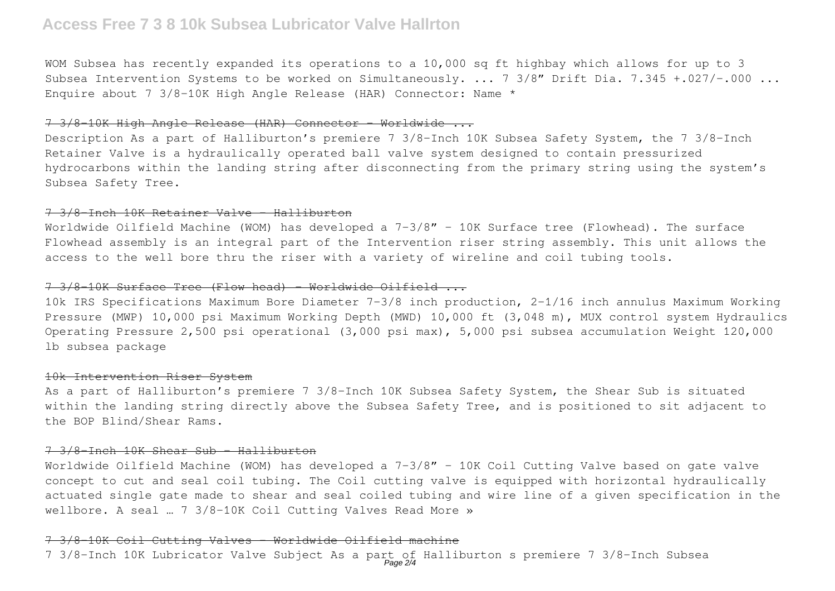# **Access Free 7 3 8 10k Subsea Lubricator Valve Hallrton**

WOM Subsea has recently expanded its operations to a 10,000 sq ft highbay which allows for up to 3 Subsea Intervention Systems to be worked on Simultaneously. ... 7 3/8" Drift Dia. 7.345 +.027/-.000 ... Enquire about 7 3/8-10K High Angle Release (HAR) Connector: Name  $*$ 

#### 7 3/8-10K High Angle Release (HAR) Connector - Worldwide ...

Description As a part of Halliburton's premiere 7 3/8-Inch 10K Subsea Safety System, the 7 3/8-Inch Retainer Valve is a hydraulically operated ball valve system designed to contain pressurized hydrocarbons within the landing string after disconnecting from the primary string using the system's Subsea Safety Tree.

### 7 3/8-Inch 10K Retainer Valve - Halliburton

Worldwide Oilfield Machine (WOM) has developed a 7-3/8" - 10K Surface tree (Flowhead). The surface Flowhead assembly is an integral part of the Intervention riser string assembly. This unit allows the access to the well bore thru the riser with a variety of wireline and coil tubing tools.

## 7 3/8-10K Surface Tree (Flow head) - Worldwide Oilfield ...

10k IRS Specifications Maximum Bore Diameter 7-3/8 inch production, 2-1/16 inch annulus Maximum Working Pressure (MWP) 10,000 psi Maximum Working Depth (MWD) 10,000 ft (3,048 m), MUX control system Hydraulics Operating Pressure 2,500 psi operational (3,000 psi max), 5,000 psi subsea accumulation Weight 120,000 lb subsea package

#### 10k Intervention Riser System

As a part of Halliburton's premiere 7 3/8-Inch 10K Subsea Safety System, the Shear Sub is situated within the landing string directly above the Subsea Safety Tree, and is positioned to sit adjacent to the BOP Blind/Shear Rams.

## 7 3/8-Inch 10K Shear Sub - Halliburton

Worldwide Oilfield Machine (WOM) has developed a 7-3/8" - 10K Coil Cutting Valve based on gate valve concept to cut and seal coil tubing. The Coil cutting valve is equipped with horizontal hydraulically actuated single gate made to shear and seal coiled tubing and wire line of a given specification in the wellbore. A seal … 7 3/8-10K Coil Cutting Valves Read More »

#### 7 3/8-10K Coil Cutting Valves - Worldwide Oilfield machine

7 3/8-Inch 10K Lubricator Valve Subject As a part of Halliburton s premiere 7 3/8-Inch Subsea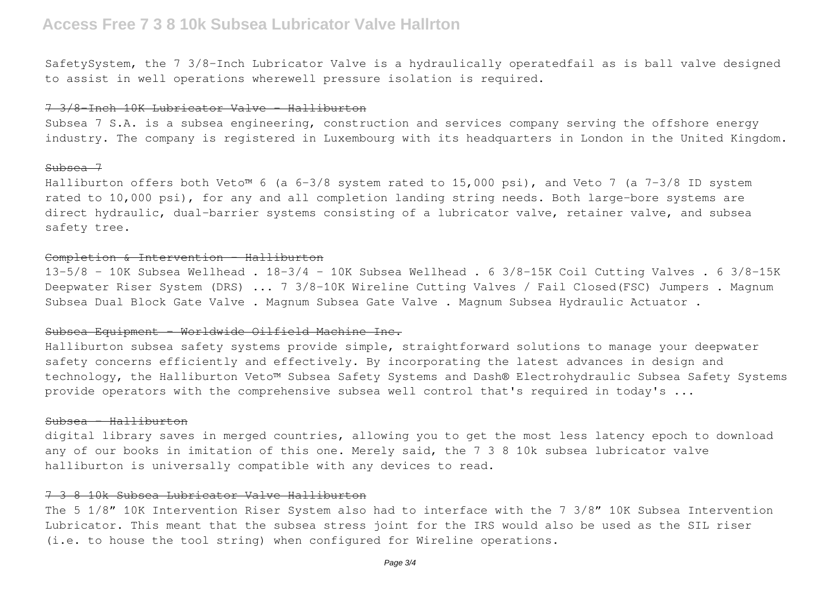# **Access Free 7 3 8 10k Subsea Lubricator Valve Hallrton**

SafetySystem, the 7 3/8-Inch Lubricator Valve is a hydraulically operatedfail as is ball valve designed to assist in well operations wherewell pressure isolation is required.

## 7 3/8-Inch 10K Lubricator Valve - Halliburton

Subsea 7 S.A. is a subsea engineering, construction and services company serving the offshore energy industry. The company is registered in Luxembourg with its headquarters in London in the United Kingdom.

## Subsea 7

Halliburton offers both Veto™ 6 (a 6-3/8 system rated to 15,000 psi), and Veto 7 (a 7-3/8 ID system rated to 10,000 psi), for any and all completion landing string needs. Both large-bore systems are direct hydraulic, dual-barrier systems consisting of a lubricator valve, retainer valve, and subsea safety tree.

#### Completion & Intervention - Halliburton

 $13-5/8$  - 10K Subsea Wellhead .  $18-3/4$  - 10K Subsea Wellhead . 6 3/8-15K Coil Cutting Valves . 6 3/8-15K Deepwater Riser System (DRS) ... 7 3/8-10K Wireline Cutting Valves / Fail Closed(FSC) Jumpers . Magnum Subsea Dual Block Gate Valve . Magnum Subsea Gate Valve . Magnum Subsea Hydraulic Actuator .

## Subsea Equipment - Worldwide Oilfield Machine Inc.

Halliburton subsea safety systems provide simple, straightforward solutions to manage your deepwater safety concerns efficiently and effectively. By incorporating the latest advances in design and technology, the Halliburton Veto™ Subsea Safety Systems and Dash® Electrohydraulic Subsea Safety Systems provide operators with the comprehensive subsea well control that's required in today's ...

### Subsea - Halliburton

digital library saves in merged countries, allowing you to get the most less latency epoch to download any of our books in imitation of this one. Merely said, the 7 3 8 10k subsea lubricator valve halliburton is universally compatible with any devices to read.

# 7 3 8 10k Subsea Lubricator Valve Halliburton

The 5 1/8" 10K Intervention Riser System also had to interface with the 7 3/8" 10K Subsea Intervention Lubricator. This meant that the subsea stress joint for the IRS would also be used as the SIL riser (i.e. to house the tool string) when configured for Wireline operations.